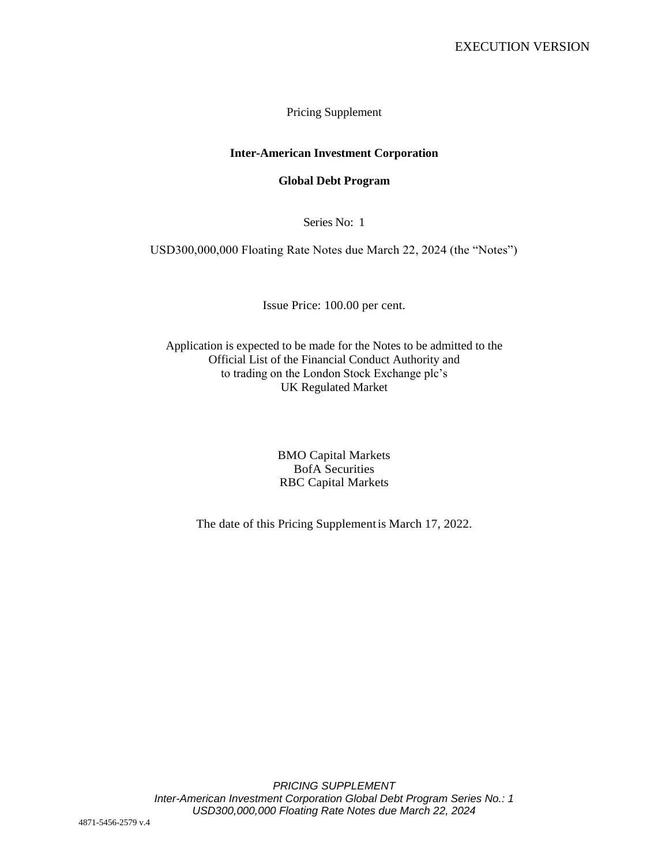Pricing Supplement

# **Inter-American Investment Corporation**

## **Global Debt Program**

Series No: 1

USD300,000,000 Floating Rate Notes due March 22, 2024 (the "Notes")

Issue Price: 100.00 per cent.

Application is expected to be made for the Notes to be admitted to the Official List of the Financial Conduct Authority and to trading on the London Stock Exchange plc's UK Regulated Market

> BMO Capital Markets BofA Securities RBC Capital Markets

The date of this Pricing Supplementis March 17, 2022.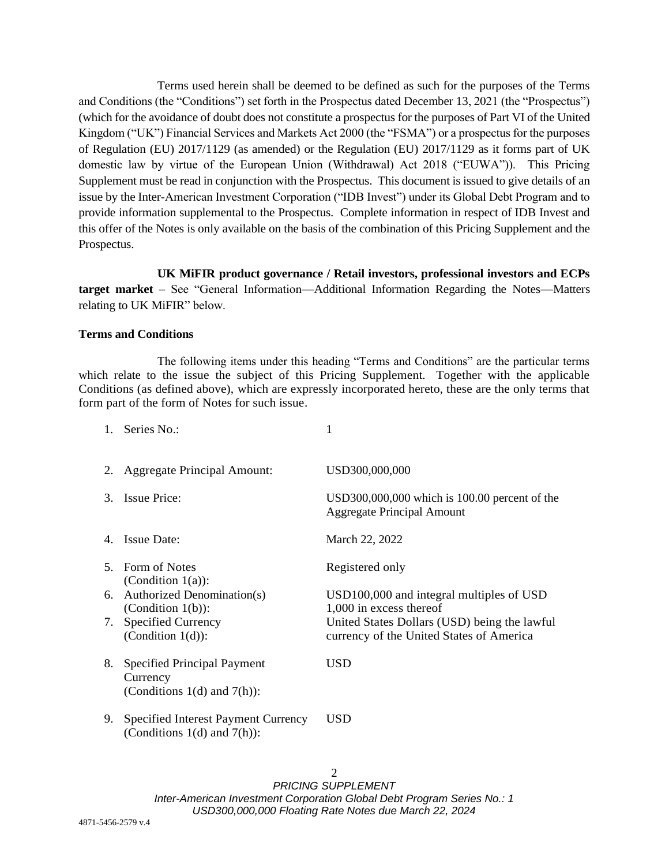Terms used herein shall be deemed to be defined as such for the purposes of the Terms and Conditions (the "Conditions") set forth in the Prospectus dated December 13, 2021 (the "Prospectus") (which for the avoidance of doubt does not constitute a prospectus for the purposes of Part VI of the United Kingdom ("UK") Financial Services and Markets Act 2000 (the "FSMA") or a prospectus for the purposes of Regulation (EU) 2017/1129 (as amended) or the Regulation (EU) 2017/1129 as it forms part of UK domestic law by virtue of the European Union (Withdrawal) Act 2018 ("EUWA")). This Pricing Supplement must be read in conjunction with the Prospectus. This document is issued to give details of an issue by the Inter-American Investment Corporation ("IDB Invest") under its Global Debt Program and to provide information supplemental to the Prospectus. Complete information in respect of IDB Invest and this offer of the Notes is only available on the basis of the combination of this Pricing Supplement and the Prospectus.

## **UK MiFIR product governance / Retail investors, professional investors and ECPs**

**target market** – See "General Information—Additional Information Regarding the Notes—Matters relating to UK MiFIR" below.

### **Terms and Conditions**

The following items under this heading "Terms and Conditions" are the particular terms which relate to the issue the subject of this Pricing Supplement. Together with the applicable Conditions (as defined above), which are expressly incorporated hereto, these are the only terms that form part of the form of Notes for such issue.

|    | 1. Series No.:                                                                     |                                                                                          |
|----|------------------------------------------------------------------------------------|------------------------------------------------------------------------------------------|
| 2. | <b>Aggregate Principal Amount:</b>                                                 | USD300,000,000                                                                           |
| 3. | <b>Issue Price:</b>                                                                | $USD300,000,000$ which is 100.00 percent of the<br><b>Aggregate Principal Amount</b>     |
| 4. | <b>Issue Date:</b>                                                                 | March 22, 2022                                                                           |
| 5. | Form of Notes<br>(Condition $1(a)$ ):                                              | Registered only                                                                          |
|    | 6. Authorized Denomination(s)<br>(Condition $1(b)$ ):                              | USD100,000 and integral multiples of USD<br>1,000 in excess thereof                      |
| 7. | <b>Specified Currency</b><br>(Condition $1(d)$ ):                                  | United States Dollars (USD) being the lawful<br>currency of the United States of America |
| 8. | <b>Specified Principal Payment</b><br>Currency<br>(Conditions $1(d)$ and $7(h)$ ): | USD                                                                                      |
| 9. | <b>Specified Interest Payment Currency</b><br>(Conditions $1(d)$ and $7(h)$ ):     | USD                                                                                      |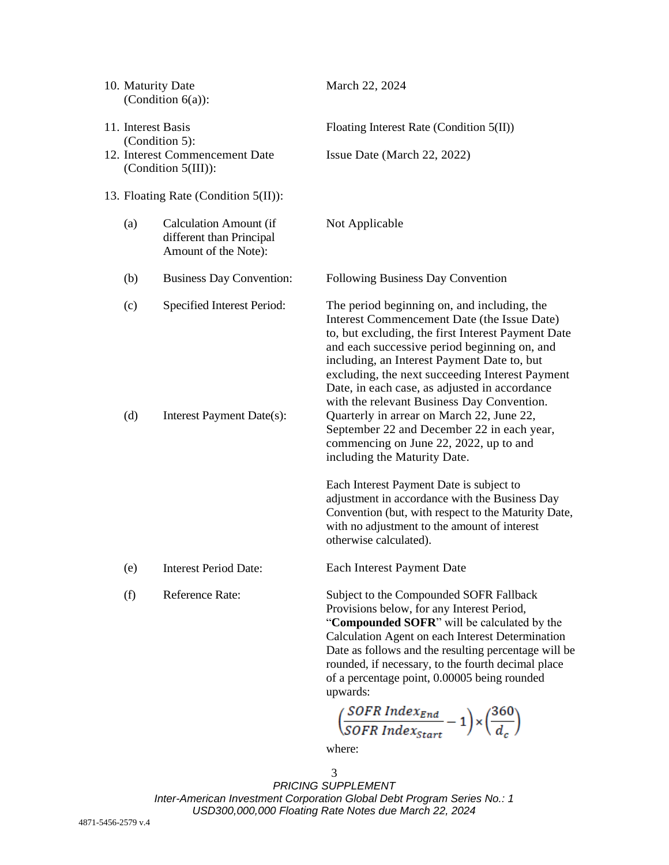|                                      | 10. Maturity Date                    | (Condition $6(a)$ ):                                                              | March 22, 2024                                                                                                                                                                                                                                                                                                                                                                                                                                                                                                                                                                                                                                                                                                              |  |  |
|--------------------------------------|--------------------------------------|-----------------------------------------------------------------------------------|-----------------------------------------------------------------------------------------------------------------------------------------------------------------------------------------------------------------------------------------------------------------------------------------------------------------------------------------------------------------------------------------------------------------------------------------------------------------------------------------------------------------------------------------------------------------------------------------------------------------------------------------------------------------------------------------------------------------------------|--|--|
|                                      | 11. Interest Basis<br>(Condition 5): |                                                                                   | Floating Interest Rate (Condition 5(II))                                                                                                                                                                                                                                                                                                                                                                                                                                                                                                                                                                                                                                                                                    |  |  |
|                                      |                                      | 12. Interest Commencement Date<br>(Condition 5(III)):                             | Issue Date (March 22, 2022)                                                                                                                                                                                                                                                                                                                                                                                                                                                                                                                                                                                                                                                                                                 |  |  |
| 13. Floating Rate (Condition 5(II)): |                                      |                                                                                   |                                                                                                                                                                                                                                                                                                                                                                                                                                                                                                                                                                                                                                                                                                                             |  |  |
|                                      | (a)                                  | <b>Calculation Amount (if</b><br>different than Principal<br>Amount of the Note): | Not Applicable                                                                                                                                                                                                                                                                                                                                                                                                                                                                                                                                                                                                                                                                                                              |  |  |
|                                      | (b)                                  | <b>Business Day Convention:</b>                                                   | Following Business Day Convention                                                                                                                                                                                                                                                                                                                                                                                                                                                                                                                                                                                                                                                                                           |  |  |
|                                      | (c)<br>(d)                           | Specified Interest Period:<br>Interest Payment Date(s):                           | The period beginning on, and including, the<br>Interest Commencement Date (the Issue Date)<br>to, but excluding, the first Interest Payment Date<br>and each successive period beginning on, and<br>including, an Interest Payment Date to, but<br>excluding, the next succeeding Interest Payment<br>Date, in each case, as adjusted in accordance<br>with the relevant Business Day Convention.<br>Quarterly in arrear on March 22, June 22,<br>September 22 and December 22 in each year,<br>commencing on June 22, 2022, up to and<br>including the Maturity Date.<br>Each Interest Payment Date is subject to<br>adjustment in accordance with the Business Day<br>Convention (but, with respect to the Maturity Date, |  |  |
|                                      |                                      |                                                                                   | with no adjustment to the amount of interest<br>otherwise calculated).                                                                                                                                                                                                                                                                                                                                                                                                                                                                                                                                                                                                                                                      |  |  |
|                                      | (e)                                  | <b>Interest Period Date:</b>                                                      | Each Interest Payment Date                                                                                                                                                                                                                                                                                                                                                                                                                                                                                                                                                                                                                                                                                                  |  |  |
|                                      | (f)                                  | <b>Reference Rate:</b>                                                            | Subject to the Compounded SOFR Fallback<br>Provisions below, for any Interest Period,<br>"Compounded SOFR" will be calculated by the<br>Calculation Agent on each Interest Determination<br>Date as follows and the resulting percentage will be<br>rounded, if necessary, to the fourth decimal place<br>of a percentage point, 0.00005 being rounded<br>upwards:                                                                                                                                                                                                                                                                                                                                                          |  |  |
|                                      |                                      |                                                                                   | $\left(\frac{SOFR \; Index_{End}}{SOFR \; Index_{Start}}-1\right) \times \left(\frac{360}{d_c}\right)$                                                                                                                                                                                                                                                                                                                                                                                                                                                                                                                                                                                                                      |  |  |

where: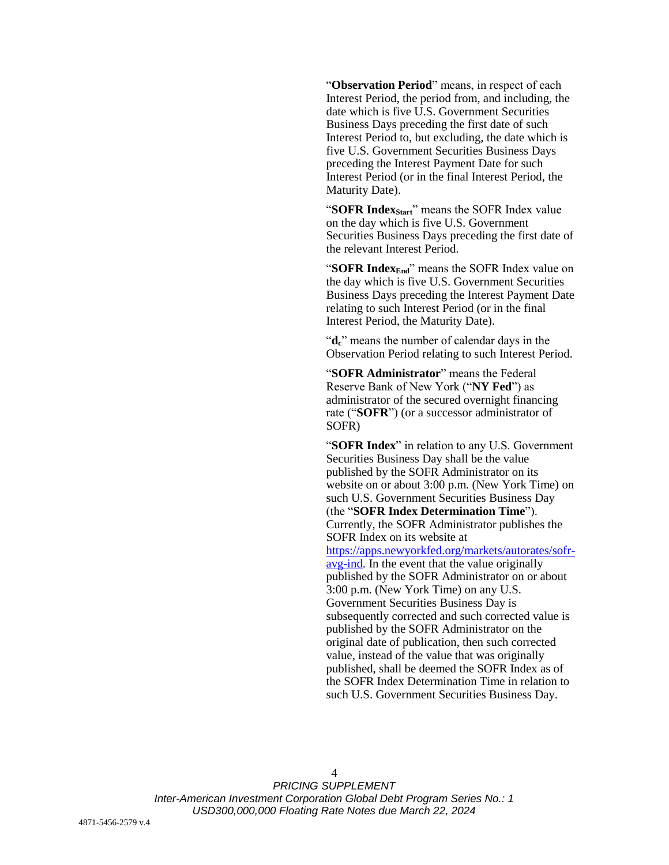"**Observation Period**" means, in respect of each Interest Period, the period from, and including, the date which is five U.S. Government Securities Business Days preceding the first date of such Interest Period to, but excluding, the date which is five U.S. Government Securities Business Days preceding the Interest Payment Date for such Interest Period (or in the final Interest Period, the Maturity Date).

"**SOFR IndexStart**" means the SOFR Index value on the day which is five U.S. Government Securities Business Days preceding the first date of the relevant Interest Period.

"**SOFR IndexEnd**" means the SOFR Index value on the day which is five U.S. Government Securities Business Days preceding the Interest Payment Date relating to such Interest Period (or in the final Interest Period, the Maturity Date).

"**dc**" means the number of calendar days in the Observation Period relating to such Interest Period.

"**SOFR Administrator**" means the Federal Reserve Bank of New York ("**NY Fed**") as administrator of the secured overnight financing rate ("**SOFR**") (or a successor administrator of SOFR)

"**SOFR Index**" in relation to any U.S. Government Securities Business Day shall be the value published by the SOFR Administrator on its website on or about 3:00 p.m. (New York Time) on such U.S. Government Securities Business Day (the "**SOFR Index Determination Time**"). Currently, the SOFR Administrator publishes the SOFR Index on its website at [https://apps.newyorkfed.org/markets/autorates/sofr](https://apps.newyorkfed.org/markets/autorates/sofr-avg-ind)[avg-ind.](https://apps.newyorkfed.org/markets/autorates/sofr-avg-ind) In the event that the value originally published by the SOFR Administrator on or about 3:00 p.m. (New York Time) on any U.S. Government Securities Business Day is subsequently corrected and such corrected value is published by the SOFR Administrator on the original date of publication, then such corrected value, instead of the value that was originally published, shall be deemed the SOFR Index as of the SOFR Index Determination Time in relation to such U.S. Government Securities Business Day.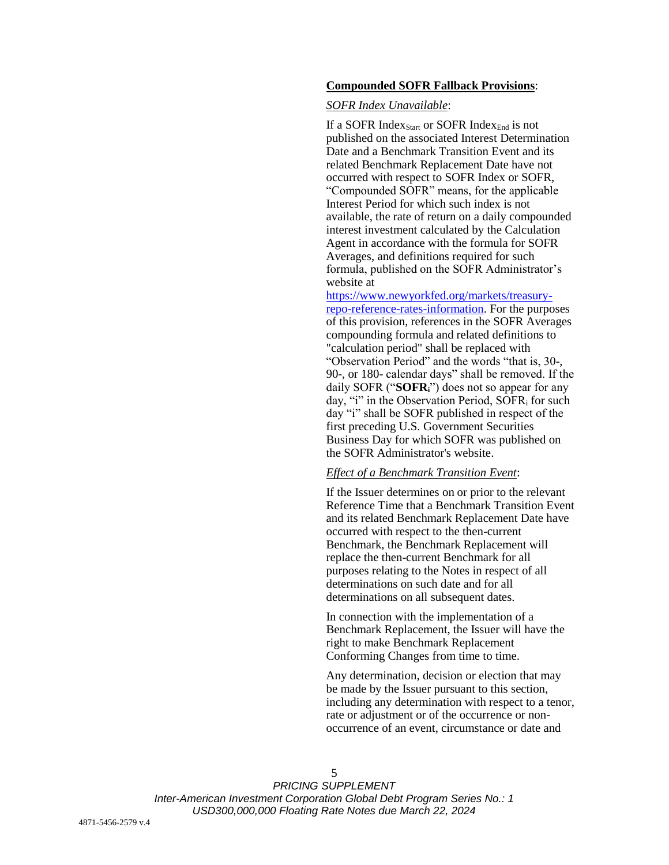#### **Compounded SOFR Fallback Provisions**:

#### *SOFR Index Unavailable*:

If a SOFR Index<sub>Start</sub> or SOFR Index<sub>End</sub> is not published on the associated Interest Determination Date and a Benchmark Transition Event and its related Benchmark Replacement Date have not occurred with respect to SOFR Index or SOFR, "Compounded SOFR" means, for the applicable Interest Period for which such index is not available, the rate of return on a daily compounded interest investment calculated by the Calculation Agent in accordance with the formula for SOFR Averages, and definitions required for such formula, published on the SOFR Administrator's website at

[https://www.newyorkfed.org/markets/treasury](https://www.newyorkfed.org/markets/treasury-repo-reference-rates-information)[repo-reference-rates-information.](https://www.newyorkfed.org/markets/treasury-repo-reference-rates-information) For the purposes of this provision, references in the SOFR Averages compounding formula and related definitions to "calculation period" shall be replaced with "Observation Period" and the words "that is, 30-, 90-, or 180- calendar days" shall be removed. If the daily SOFR ("**SOFRi**") does not so appear for any day, "i" in the Observation Period,  $S\text{OFR}_i$  for such day "i" shall be SOFR published in respect of the first preceding U.S. Government Securities Business Day for which SOFR was published on the SOFR Administrator's website.

#### *Effect of a Benchmark Transition Event*:

If the Issuer determines on or prior to the relevant Reference Time that a Benchmark Transition Event and its related Benchmark Replacement Date have occurred with respect to the then-current Benchmark, the Benchmark Replacement will replace the then-current Benchmark for all purposes relating to the Notes in respect of all determinations on such date and for all determinations on all subsequent dates.

In connection with the implementation of a Benchmark Replacement, the Issuer will have the right to make Benchmark Replacement Conforming Changes from time to time.

Any determination, decision or election that may be made by the Issuer pursuant to this section, including any determination with respect to a tenor, rate or adjustment or of the occurrence or nonoccurrence of an event, circumstance or date and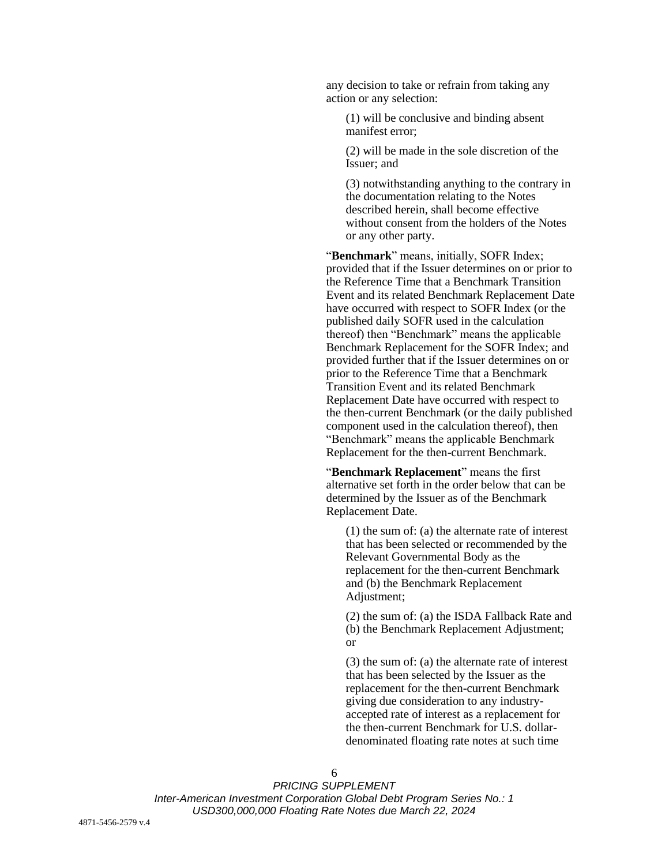any decision to take or refrain from taking any action or any selection:

(1) will be conclusive and binding absent manifest error;

(2) will be made in the sole discretion of the Issuer; and

(3) notwithstanding anything to the contrary in the documentation relating to the Notes described herein, shall become effective without consent from the holders of the Notes or any other party.

"**Benchmark**" means, initially, SOFR Index; provided that if the Issuer determines on or prior to the Reference Time that a Benchmark Transition Event and its related Benchmark Replacement Date have occurred with respect to SOFR Index (or the published daily SOFR used in the calculation thereof) then "Benchmark" means the applicable Benchmark Replacement for the SOFR Index; and provided further that if the Issuer determines on or prior to the Reference Time that a Benchmark Transition Event and its related Benchmark Replacement Date have occurred with respect to the then-current Benchmark (or the daily published component used in the calculation thereof), then "Benchmark" means the applicable Benchmark Replacement for the then-current Benchmark.

"**Benchmark Replacement**" means the first alternative set forth in the order below that can be determined by the Issuer as of the Benchmark Replacement Date.

(1) the sum of: (a) the alternate rate of interest that has been selected or recommended by the Relevant Governmental Body as the replacement for the then-current Benchmark and (b) the Benchmark Replacement Adjustment:

(2) the sum of: (a) the ISDA Fallback Rate and (b) the Benchmark Replacement Adjustment; or

(3) the sum of: (a) the alternate rate of interest that has been selected by the Issuer as the replacement for the then-current Benchmark giving due consideration to any industryaccepted rate of interest as a replacement for the then-current Benchmark for U.S. dollardenominated floating rate notes at such time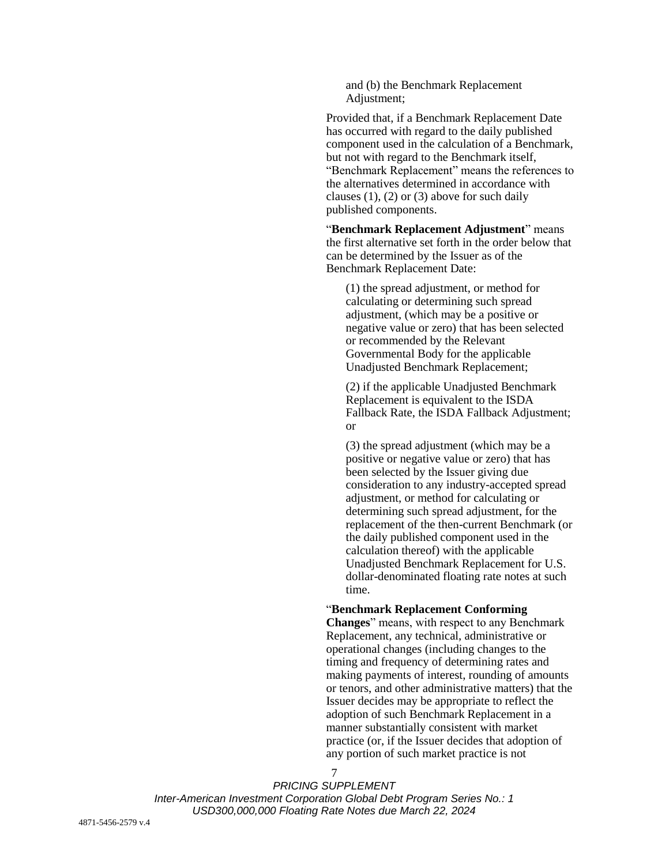and (b) the Benchmark Replacement Adjustment:

Provided that, if a Benchmark Replacement Date has occurred with regard to the daily published component used in the calculation of a Benchmark, but not with regard to the Benchmark itself, "Benchmark Replacement" means the references to the alternatives determined in accordance with clauses  $(1)$ ,  $(2)$  or  $(3)$  above for such daily published components.

"**Benchmark Replacement Adjustment**" means the first alternative set forth in the order below that can be determined by the Issuer as of the Benchmark Replacement Date:

(1) the spread adjustment, or method for calculating or determining such spread adjustment, (which may be a positive or negative value or zero) that has been selected or recommended by the Relevant Governmental Body for the applicable Unadjusted Benchmark Replacement;

(2) if the applicable Unadjusted Benchmark Replacement is equivalent to the ISDA Fallback Rate, the ISDA Fallback Adjustment; or

(3) the spread adjustment (which may be a positive or negative value or zero) that has been selected by the Issuer giving due consideration to any industry-accepted spread adjustment, or method for calculating or determining such spread adjustment, for the replacement of the then-current Benchmark (or the daily published component used in the calculation thereof) with the applicable Unadjusted Benchmark Replacement for U.S. dollar-denominated floating rate notes at such time.

#### "**Benchmark Replacement Conforming**

**Changes**" means, with respect to any Benchmark Replacement, any technical, administrative or operational changes (including changes to the timing and frequency of determining rates and making payments of interest, rounding of amounts or tenors, and other administrative matters) that the Issuer decides may be appropriate to reflect the adoption of such Benchmark Replacement in a manner substantially consistent with market practice (or, if the Issuer decides that adoption of any portion of such market practice is not

*PRICING SUPPLEMENT Inter-American Investment Corporation Global Debt Program Series No.: 1 USD300,000,000 Floating Rate Notes due March 22, 2024*

7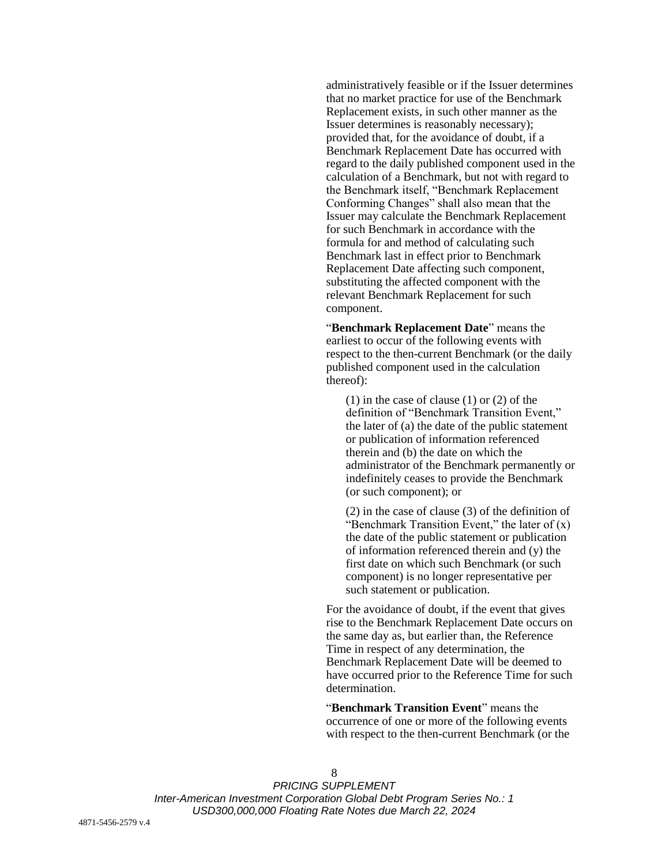administratively feasible or if the Issuer determines that no market practice for use of the Benchmark Replacement exists, in such other manner as the Issuer determines is reasonably necessary); provided that, for the avoidance of doubt, if a Benchmark Replacement Date has occurred with regard to the daily published component used in the calculation of a Benchmark, but not with regard to the Benchmark itself, "Benchmark Replacement Conforming Changes" shall also mean that the Issuer may calculate the Benchmark Replacement for such Benchmark in accordance with the formula for and method of calculating such Benchmark last in effect prior to Benchmark Replacement Date affecting such component, substituting the affected component with the relevant Benchmark Replacement for such component.

"**Benchmark Replacement Date**" means the earliest to occur of the following events with respect to the then-current Benchmark (or the daily published component used in the calculation thereof):

(1) in the case of clause (1) or (2) of the definition of "Benchmark Transition Event," the later of (a) the date of the public statement or publication of information referenced therein and (b) the date on which the administrator of the Benchmark permanently or indefinitely ceases to provide the Benchmark (or such component); or

(2) in the case of clause (3) of the definition of "Benchmark Transition Event," the later of  $(x)$ the date of the public statement or publication of information referenced therein and (y) the first date on which such Benchmark (or such component) is no longer representative per such statement or publication.

For the avoidance of doubt, if the event that gives rise to the Benchmark Replacement Date occurs on the same day as, but earlier than, the Reference Time in respect of any determination, the Benchmark Replacement Date will be deemed to have occurred prior to the Reference Time for such determination.

"**Benchmark Transition Event**" means the occurrence of one or more of the following events with respect to the then-current Benchmark (or the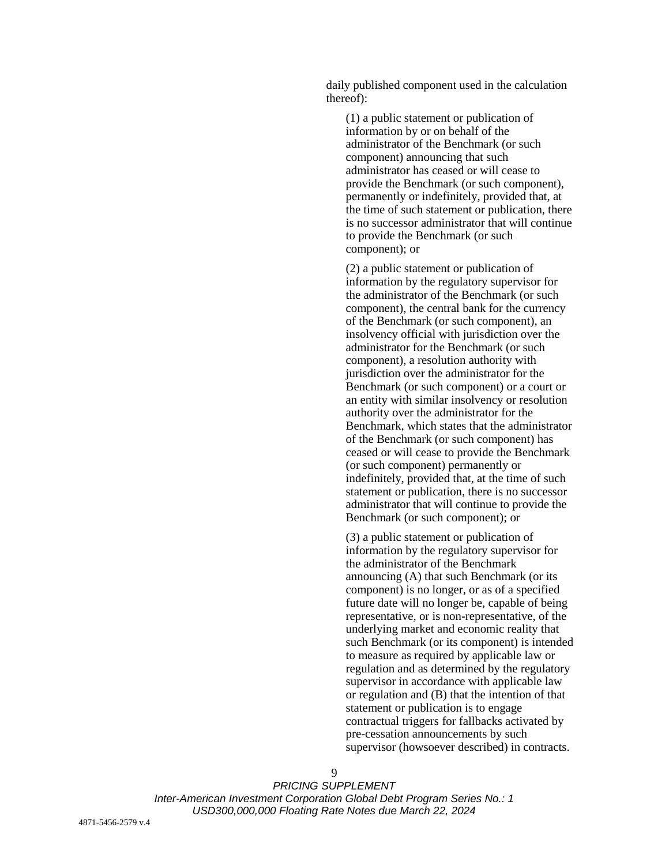daily published component used in the calculation thereof):

(1) a public statement or publication of information by or on behalf of the administrator of the Benchmark (or such component) announcing that such administrator has ceased or will cease to provide the Benchmark (or such component), permanently or indefinitely, provided that, at the time of such statement or publication, there is no successor administrator that will continue to provide the Benchmark (or such component); or

(2) a public statement or publication of information by the regulatory supervisor for the administrator of the Benchmark (or such component), the central bank for the currency of the Benchmark (or such component), an insolvency official with jurisdiction over the administrator for the Benchmark (or such component), a resolution authority with jurisdiction over the administrator for the Benchmark (or such component) or a court or an entity with similar insolvency or resolution authority over the administrator for the Benchmark, which states that the administrator of the Benchmark (or such component) has ceased or will cease to provide the Benchmark (or such component) permanently or indefinitely, provided that, at the time of such statement or publication, there is no successor administrator that will continue to provide the Benchmark (or such component); or

(3) a public statement or publication of information by the regulatory supervisor for the administrator of the Benchmark announcing (A) that such Benchmark (or its component) is no longer, or as of a specified future date will no longer be, capable of being representative, or is non-representative, of the underlying market and economic reality that such Benchmark (or its component) is intended to measure as required by applicable law or regulation and as determined by the regulatory supervisor in accordance with applicable law or regulation and (B) that the intention of that statement or publication is to engage contractual triggers for fallbacks activated by pre-cessation announcements by such supervisor (howsoever described) in contracts.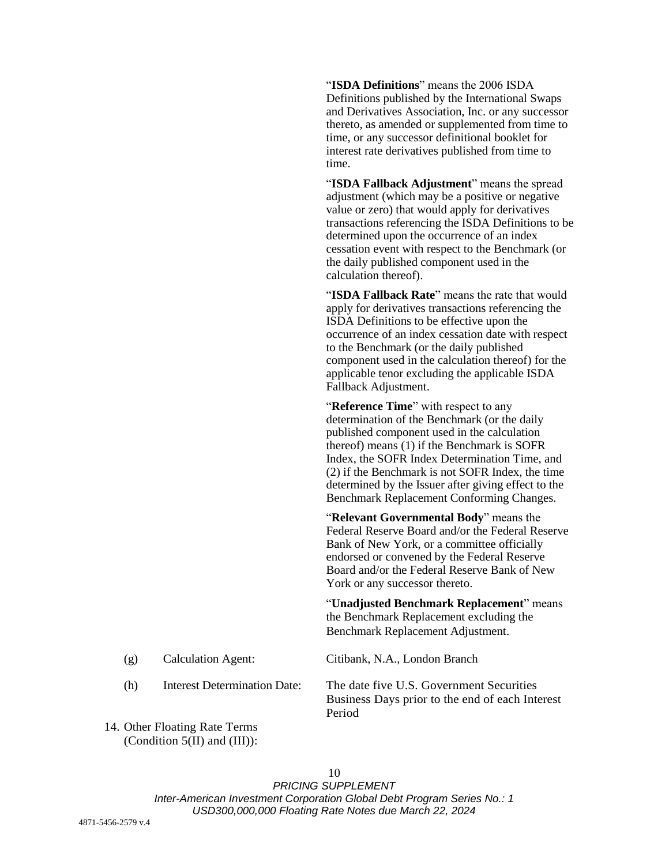"**ISDA Definitions**" means the 2006 ISDA Definitions published by the International Swaps and Derivatives Association, Inc. or any successor thereto, as amended or supplemented from time to time, or any successor definitional booklet for interest rate derivatives published from time to time.

"**ISDA Fallback Adjustment**" means the spread adjustment (which may be a positive or negative value or zero) that would apply for derivatives transactions referencing the ISDA Definitions to be determined upon the occurrence of an index cessation event with respect to the Benchmark (or the daily published component used in the calculation thereof).

"**ISDA Fallback Rate**" means the rate that would apply for derivatives transactions referencing the ISDA Definitions to be effective upon the occurrence of an index cessation date with respect to the Benchmark (or the daily published component used in the calculation thereof) for the applicable tenor excluding the applicable ISDA Fallback Adjustment.

"**Reference Time**" with respect to any determination of the Benchmark (or the daily published component used in the calculation thereof) means (1) if the Benchmark is SOFR Index, the SOFR Index Determination Time, and (2) if the Benchmark is not SOFR Index, the time determined by the Issuer after giving effect to the Benchmark Replacement Conforming Changes.

"**Relevant Governmental Body**" means the Federal Reserve Board and/or the Federal Reserve Bank of New York, or a committee officially endorsed or convened by the Federal Reserve Board and/or the Federal Reserve Bank of New York or any successor thereto.

"**Unadjusted Benchmark Replacement**" means the Benchmark Replacement excluding the Benchmark Replacement Adjustment.

(g) Calculation Agent: Citibank, N.A., London Branch

(h) Interest Determination Date: The date five U.S. Government Securities Business Days prior to the end of each Interest Period

14. Other Floating Rate Terms (Condition 5(II) and (III)):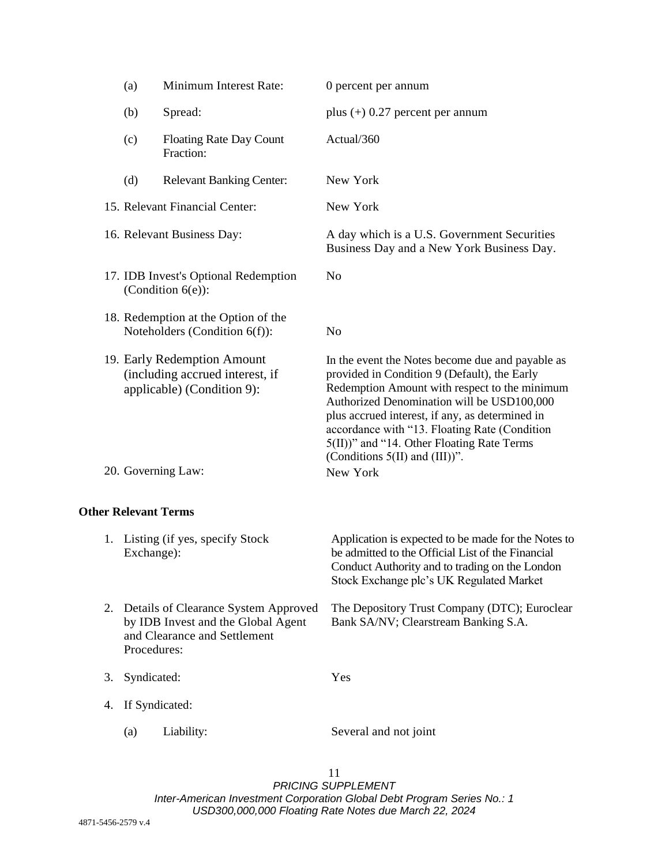|                             | (a)                                                                                                                                                                                                     | Minimum Interest Rate:                                                                                             | 0 percent per annum                                                                                                                                                                                                                                                                                                                                                                                  |
|-----------------------------|---------------------------------------------------------------------------------------------------------------------------------------------------------------------------------------------------------|--------------------------------------------------------------------------------------------------------------------|------------------------------------------------------------------------------------------------------------------------------------------------------------------------------------------------------------------------------------------------------------------------------------------------------------------------------------------------------------------------------------------------------|
|                             | (b)                                                                                                                                                                                                     | Spread:                                                                                                            | plus $(+)$ 0.27 percent per annum                                                                                                                                                                                                                                                                                                                                                                    |
|                             | (c)                                                                                                                                                                                                     | <b>Floating Rate Day Count</b><br>Fraction:                                                                        | Actual/360                                                                                                                                                                                                                                                                                                                                                                                           |
|                             | (d)                                                                                                                                                                                                     | <b>Relevant Banking Center:</b>                                                                                    | New York                                                                                                                                                                                                                                                                                                                                                                                             |
|                             | 15. Relevant Financial Center:<br>16. Relevant Business Day:<br>17. IDB Invest's Optional Redemption<br>(Condition $6(e)$ ):<br>18. Redemption at the Option of the<br>Noteholders (Condition $6(f)$ ): |                                                                                                                    | New York                                                                                                                                                                                                                                                                                                                                                                                             |
|                             |                                                                                                                                                                                                         |                                                                                                                    | A day which is a U.S. Government Securities<br>Business Day and a New York Business Day.                                                                                                                                                                                                                                                                                                             |
|                             |                                                                                                                                                                                                         |                                                                                                                    | N <sub>o</sub>                                                                                                                                                                                                                                                                                                                                                                                       |
|                             |                                                                                                                                                                                                         |                                                                                                                    | N <sub>o</sub>                                                                                                                                                                                                                                                                                                                                                                                       |
|                             |                                                                                                                                                                                                         | 19. Early Redemption Amount<br>(including accrued interest, if<br>applicable) (Condition 9):<br>20. Governing Law: | In the event the Notes become due and payable as<br>provided in Condition 9 (Default), the Early<br>Redemption Amount with respect to the minimum<br>Authorized Denomination will be USD100,000<br>plus accrued interest, if any, as determined in<br>accordance with "13. Floating Rate (Condition<br>5(II))" and "14. Other Floating Rate Terms<br>(Conditions $5(II)$ and $(III)$ )".<br>New York |
| <b>Other Relevant Terms</b> |                                                                                                                                                                                                         |                                                                                                                    |                                                                                                                                                                                                                                                                                                                                                                                                      |
|                             | Exchange):                                                                                                                                                                                              | 1. Listing (if yes, specify Stock                                                                                  | Application is expected to be made for the Notes to<br>be admitted to the Official List of the Financial<br>Conduct Authority and to trading on the London<br>Stock Exchange plc's UK Regulated Market                                                                                                                                                                                               |
| 2.                          | Procedures:                                                                                                                                                                                             | Details of Clearance System Approved<br>by IDB Invest and the Global Agent<br>and Clearance and Settlement         | The Depository Trust Company (DTC); Euroclear<br>Bank SA/NV; Clearstream Banking S.A.                                                                                                                                                                                                                                                                                                                |
| 3.                          | Syndicated:<br>If Syndicated:                                                                                                                                                                           |                                                                                                                    | Yes                                                                                                                                                                                                                                                                                                                                                                                                  |
| 4.                          |                                                                                                                                                                                                         |                                                                                                                    |                                                                                                                                                                                                                                                                                                                                                                                                      |
|                             | (a)                                                                                                                                                                                                     | Liability:                                                                                                         | Several and not joint                                                                                                                                                                                                                                                                                                                                                                                |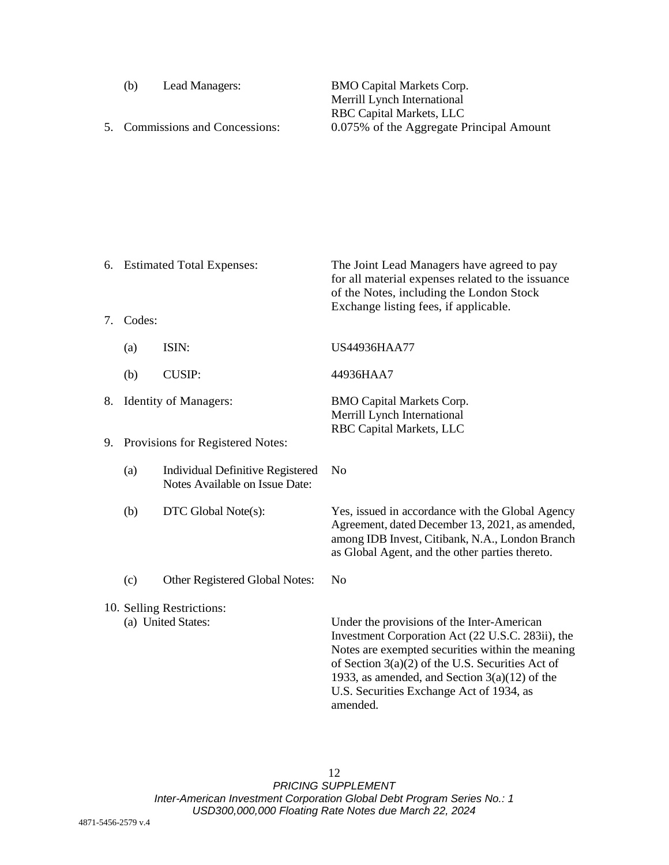- 
- 

(b) Lead Managers: BMO Capital Markets Corp. Merrill Lynch International RBC Capital Markets, LLC 5. Commissions and Concessions: 0.075% of the Aggregate Principal Amount

6. Estimated Total Expenses: The Joint Lead Managers have agreed to pay for all material expenses related to the issuance of the Notes, including the London Stock Exchange listing fees, if applicable. 7. Codes: (a) ISIN: US44936HAA77 (b) CUSIP: 44936HAA7 8. Identity of Managers: BMO Capital Markets Corp. Merrill Lynch International RBC Capital Markets, LLC 9. Provisions for Registered Notes: (a) Individual Definitive Registered Notes Available on Issue Date: No (b) DTC Global Note(s): Yes, issued in accordance with the Global Agency Agreement, dated December 13, 2021, as amended, among IDB Invest, Citibank, N.A., London Branch as Global Agent, and the other parties thereto. (c) Other Registered Global Notes: No 10. Selling Restrictions: (a) United States: Under the provisions of the Inter-American Investment Corporation Act (22 U.S.C. 283ii), the Notes are exempted securities within the meaning of Section 3(a)(2) of the U.S. Securities Act of 1933, as amended, and Section  $3(a)(12)$  of the U.S. Securities Exchange Act of 1934, as amended.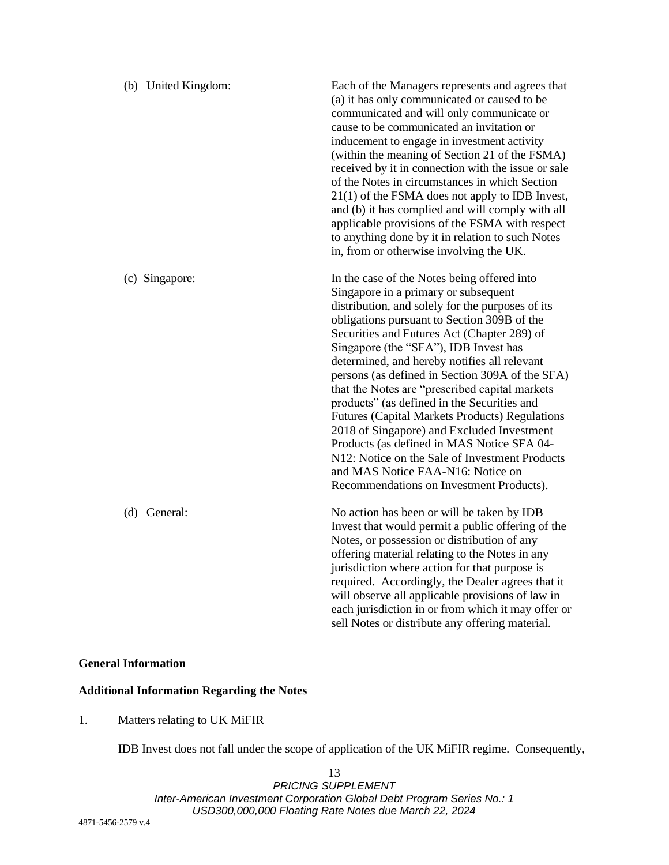| (b) United Kingdom: | Each of the Managers represents and agrees that<br>(a) it has only communicated or caused to be<br>communicated and will only communicate or<br>cause to be communicated an invitation or<br>inducement to engage in investment activity<br>(within the meaning of Section 21 of the FSMA)<br>received by it in connection with the issue or sale<br>of the Notes in circumstances in which Section<br>$21(1)$ of the FSMA does not apply to IDB Invest,<br>and (b) it has complied and will comply with all<br>applicable provisions of the FSMA with respect<br>to anything done by it in relation to such Notes<br>in, from or otherwise involving the UK.                                                                                                              |
|---------------------|----------------------------------------------------------------------------------------------------------------------------------------------------------------------------------------------------------------------------------------------------------------------------------------------------------------------------------------------------------------------------------------------------------------------------------------------------------------------------------------------------------------------------------------------------------------------------------------------------------------------------------------------------------------------------------------------------------------------------------------------------------------------------|
| (c) Singapore:      | In the case of the Notes being offered into<br>Singapore in a primary or subsequent<br>distribution, and solely for the purposes of its<br>obligations pursuant to Section 309B of the<br>Securities and Futures Act (Chapter 289) of<br>Singapore (the "SFA"), IDB Invest has<br>determined, and hereby notifies all relevant<br>persons (as defined in Section 309A of the SFA)<br>that the Notes are "prescribed capital markets<br>products" (as defined in the Securities and<br><b>Futures (Capital Markets Products) Regulations</b><br>2018 of Singapore) and Excluded Investment<br>Products (as defined in MAS Notice SFA 04-<br>N12: Notice on the Sale of Investment Products<br>and MAS Notice FAA-N16: Notice on<br>Recommendations on Investment Products). |
| (d) General:        | No action has been or will be taken by IDB<br>Invest that would permit a public offering of the<br>Notes, or possession or distribution of any<br>offering material relating to the Notes in any<br>jurisdiction where action for that purpose is<br>required. Accordingly, the Dealer agrees that it<br>will observe all applicable provisions of law in<br>each jurisdiction in or from which it may offer or<br>sell Notes or distribute any offering material.                                                                                                                                                                                                                                                                                                         |

## **General Information**

# **Additional Information Regarding the Notes**

1. Matters relating to UK MiFIR

IDB Invest does not fall under the scope of application of the UK MiFIR regime. Consequently,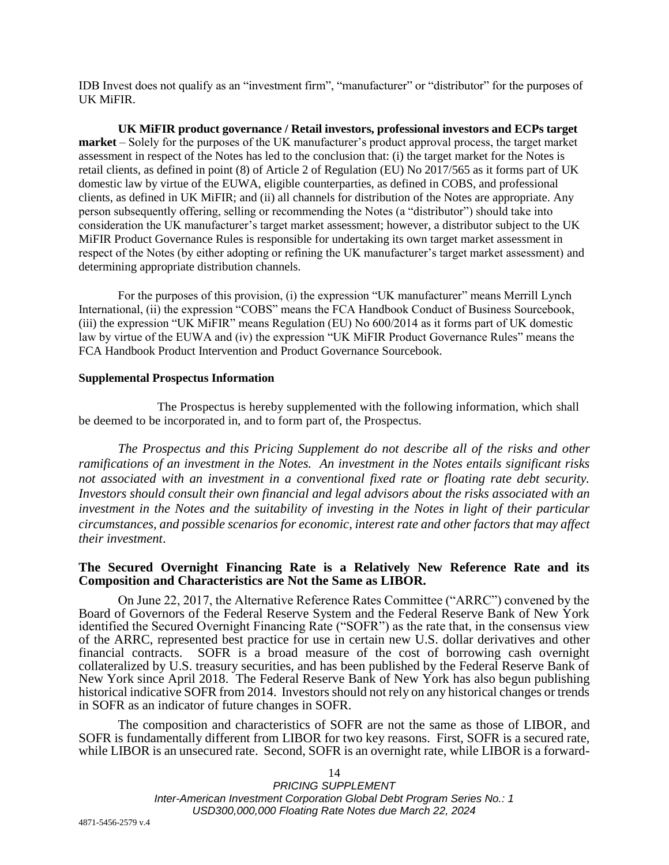IDB Invest does not qualify as an "investment firm", "manufacturer" or "distributor" for the purposes of UK MiFIR.

**UK MiFIR product governance / Retail investors, professional investors and ECPs target market** – Solely for the purposes of the UK manufacturer's product approval process, the target market assessment in respect of the Notes has led to the conclusion that: (i) the target market for the Notes is retail clients, as defined in point (8) of Article 2 of Regulation (EU) No 2017/565 as it forms part of UK domestic law by virtue of the EUWA, eligible counterparties, as defined in COBS, and professional clients, as defined in UK MiFIR; and (ii) all channels for distribution of the Notes are appropriate. Any person subsequently offering, selling or recommending the Notes (a "distributor") should take into consideration the UK manufacturer's target market assessment; however, a distributor subject to the UK MiFIR Product Governance Rules is responsible for undertaking its own target market assessment in respect of the Notes (by either adopting or refining the UK manufacturer's target market assessment) and determining appropriate distribution channels.

For the purposes of this provision, (i) the expression "UK manufacturer" means Merrill Lynch International, (ii) the expression "COBS" means the FCA Handbook Conduct of Business Sourcebook, (iii) the expression "UK MiFIR" means Regulation (EU) No 600/2014 as it forms part of UK domestic law by virtue of the EUWA and (iv) the expression "UK MiFIR Product Governance Rules" means the FCA Handbook Product Intervention and Product Governance Sourcebook.

### **Supplemental Prospectus Information**

The Prospectus is hereby supplemented with the following information, which shall be deemed to be incorporated in, and to form part of, the Prospectus.

*The Prospectus and this Pricing Supplement do not describe all of the risks and other ramifications of an investment in the Notes. An investment in the Notes entails significant risks not associated with an investment in a conventional fixed rate or floating rate debt security. Investors should consult their own financial and legal advisors about the risks associated with an investment in the Notes and the suitability of investing in the Notes in light of their particular circumstances, and possible scenarios for economic, interest rate and other factors that may affect their investment*.

# **The Secured Overnight Financing Rate is a Relatively New Reference Rate and its Composition and Characteristics are Not the Same as LIBOR.**

On June 22, 2017, the Alternative Reference Rates Committee ("ARRC") convened by the Board of Governors of the Federal Reserve System and the Federal Reserve Bank of New York identified the Secured Overnight Financing Rate ("SOFR") as the rate that, in the consensus view of the ARRC, represented best practice for use in certain new U.S. dollar derivatives and other financial contracts. SOFR is a broad measure of the cost of borrowing cash overnight collateralized by U.S. treasury securities, and has been published by the Federal Reserve Bank of New York since April 2018. The Federal Reserve Bank of New York has also begun publishing historical indicative SOFR from 2014. Investors should not rely on any historical changes or trends in SOFR as an indicator of future changes in SOFR.

The composition and characteristics of SOFR are not the same as those of LIBOR, and SOFR is fundamentally different from LIBOR for two key reasons. First, SOFR is a secured rate, while LIBOR is an unsecured rate. Second, SOFR is an overnight rate, while LIBOR is a forward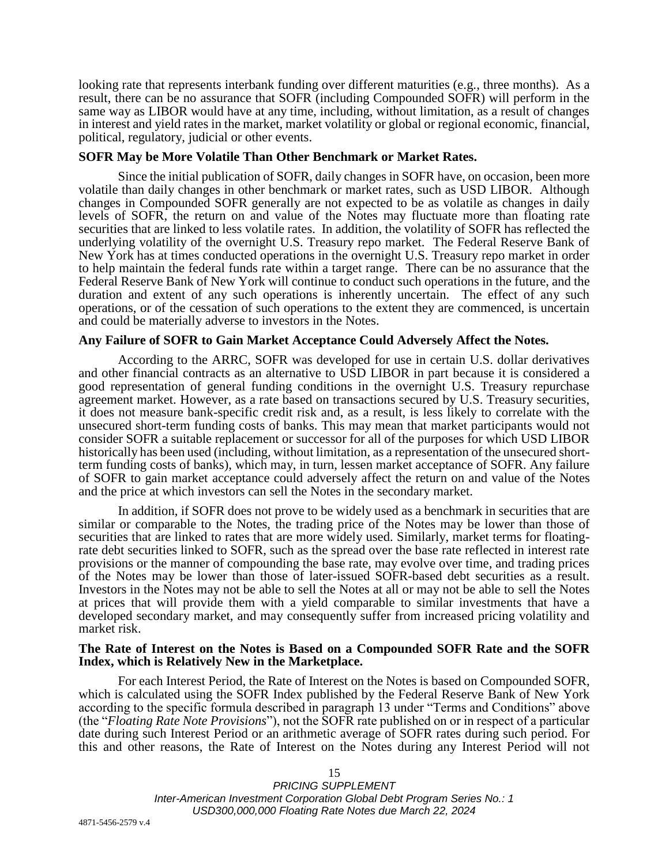looking rate that represents interbank funding over different maturities (e.g., three months). As a result, there can be no assurance that SOFR (including Compounded SOFR) will perform in the same way as LIBOR would have at any time, including, without limitation, as a result of changes in interest and yield rates in the market, market volatility or global or regional economic, financial, political, regulatory, judicial or other events.

# **SOFR May be More Volatile Than Other Benchmark or Market Rates.**

Since the initial publication of SOFR, daily changes in SOFR have, on occasion, been more volatile than daily changes in other benchmark or market rates, such as USD LIBOR. Although changes in Compounded SOFR generally are not expected to be as volatile as changes in daily levels of SOFR, the return on and value of the Notes may fluctuate more than floating rate securities that are linked to less volatile rates. In addition, the volatility of SOFR has reflected the underlying volatility of the overnight U.S. Treasury repo market. The Federal Reserve Bank of New York has at times conducted operations in the overnight U.S. Treasury repo market in order to help maintain the federal funds rate within a target range. There can be no assurance that the Federal Reserve Bank of New York will continue to conduct such operations in the future, and the duration and extent of any such operations is inherently uncertain. The effect of any such operations, or of the cessation of such operations to the extent they are commenced, is uncertain and could be materially adverse to investors in the Notes.

# **Any Failure of SOFR to Gain Market Acceptance Could Adversely Affect the Notes.**

According to the ARRC, SOFR was developed for use in certain U.S. dollar derivatives and other financial contracts as an alternative to USD LIBOR in part because it is considered a good representation of general funding conditions in the overnight U.S. Treasury repurchase agreement market. However, as a rate based on transactions secured by U.S. Treasury securities, it does not measure bank-specific credit risk and, as a result, is less likely to correlate with the unsecured short-term funding costs of banks. This may mean that market participants would not consider SOFR a suitable replacement or successor for all of the purposes for which USD LIBOR historically has been used (including, without limitation, as a representation of the unsecured shortterm funding costs of banks), which may, in turn, lessen market acceptance of SOFR. Any failure of SOFR to gain market acceptance could adversely affect the return on and value of the Notes and the price at which investors can sell the Notes in the secondary market.

In addition, if SOFR does not prove to be widely used as a benchmark in securities that are similar or comparable to the Notes, the trading price of the Notes may be lower than those of securities that are linked to rates that are more widely used. Similarly, market terms for floatingrate debt securities linked to SOFR, such as the spread over the base rate reflected in interest rate provisions or the manner of compounding the base rate, may evolve over time, and trading prices of the Notes may be lower than those of later-issued SOFR-based debt securities as a result. Investors in the Notes may not be able to sell the Notes at all or may not be able to sell the Notes at prices that will provide them with a yield comparable to similar investments that have a developed secondary market, and may consequently suffer from increased pricing volatility and market risk.

### **The Rate of Interest on the Notes is Based on a Compounded SOFR Rate and the SOFR Index, which is Relatively New in the Marketplace.**

For each Interest Period, the Rate of Interest on the Notes is based on Compounded SOFR, which is calculated using the SOFR Index published by the Federal Reserve Bank of New York according to the specific formula described in paragraph 13 under "Terms and Conditions" above (the "*Floating Rate Note Provisions*"), not the SOFR rate published on or in respect of a particular date during such Interest Period or an arithmetic average of SOFR rates during such period. For this and other reasons, the Rate of Interest on the Notes during any Interest Period will not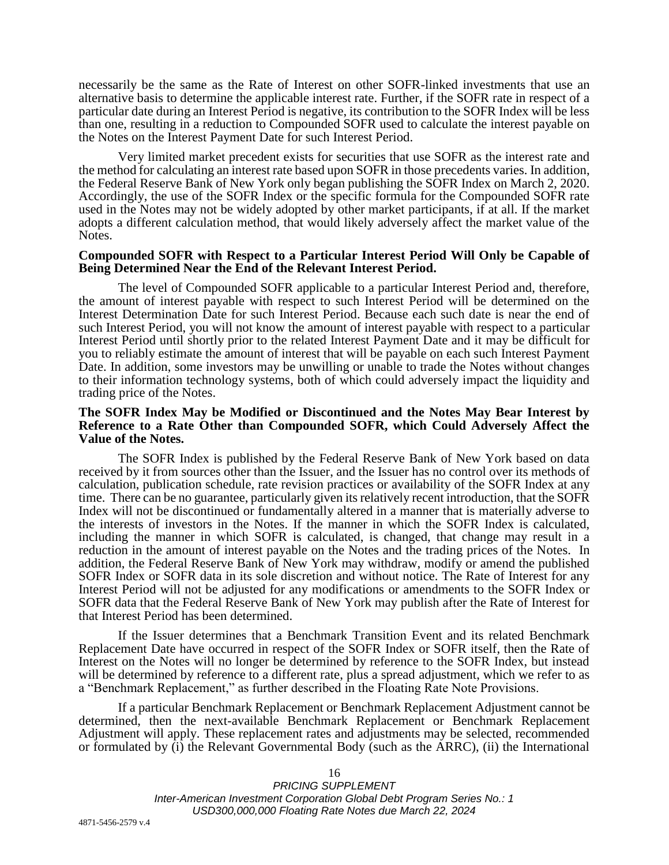necessarily be the same as the Rate of Interest on other SOFR-linked investments that use an alternative basis to determine the applicable interest rate. Further, if the SOFR rate in respect of a particular date during an Interest Period is negative, its contribution to the SOFR Index will be less than one, resulting in a reduction to Compounded SOFR used to calculate the interest payable on the Notes on the Interest Payment Date for such Interest Period.

Very limited market precedent exists for securities that use SOFR as the interest rate and the method for calculating an interest rate based upon SOFR in those precedents varies. In addition, the Federal Reserve Bank of New York only began publishing the SOFR Index on March 2, 2020. Accordingly, the use of the SOFR Index or the specific formula for the Compounded SOFR rate used in the Notes may not be widely adopted by other market participants, if at all. If the market adopts a different calculation method, that would likely adversely affect the market value of the Notes.

### **Compounded SOFR with Respect to a Particular Interest Period Will Only be Capable of Being Determined Near the End of the Relevant Interest Period.**

The level of Compounded SOFR applicable to a particular Interest Period and, therefore, the amount of interest payable with respect to such Interest Period will be determined on the Interest Determination Date for such Interest Period. Because each such date is near the end of such Interest Period, you will not know the amount of interest payable with respect to a particular Interest Period until shortly prior to the related Interest Payment Date and it may be difficult for you to reliably estimate the amount of interest that will be payable on each such Interest Payment Date. In addition, some investors may be unwilling or unable to trade the Notes without changes to their information technology systems, both of which could adversely impact the liquidity and trading price of the Notes.

## **The SOFR Index May be Modified or Discontinued and the Notes May Bear Interest by Reference to a Rate Other than Compounded SOFR, which Could Adversely Affect the Value of the Notes.**

The SOFR Index is published by the Federal Reserve Bank of New York based on data received by it from sources other than the Issuer, and the Issuer has no control over its methods of calculation, publication schedule, rate revision practices or availability of the SOFR Index at any time. There can be no guarantee, particularly given its relatively recent introduction, that the SOFR Index will not be discontinued or fundamentally altered in a manner that is materially adverse to the interests of investors in the Notes. If the manner in which the SOFR Index is calculated, including the manner in which SOFR is calculated, is changed, that change may result in a reduction in the amount of interest payable on the Notes and the trading prices of the Notes. In addition, the Federal Reserve Bank of New York may withdraw, modify or amend the published SOFR Index or SOFR data in its sole discretion and without notice. The Rate of Interest for any Interest Period will not be adjusted for any modifications or amendments to the SOFR Index or SOFR data that the Federal Reserve Bank of New York may publish after the Rate of Interest for that Interest Period has been determined.

If the Issuer determines that a Benchmark Transition Event and its related Benchmark Replacement Date have occurred in respect of the SOFR Index or SOFR itself, then the Rate of Interest on the Notes will no longer be determined by reference to the SOFR Index, but instead will be determined by reference to a different rate, plus a spread adjustment, which we refer to as a "Benchmark Replacement," as further described in the Floating Rate Note Provisions.

If a particular Benchmark Replacement or Benchmark Replacement Adjustment cannot be determined, then the next-available Benchmark Replacement or Benchmark Replacement Adjustment will apply. These replacement rates and adjustments may be selected, recommended or formulated by (i) the Relevant Governmental Body (such as the ARRC), (ii) the International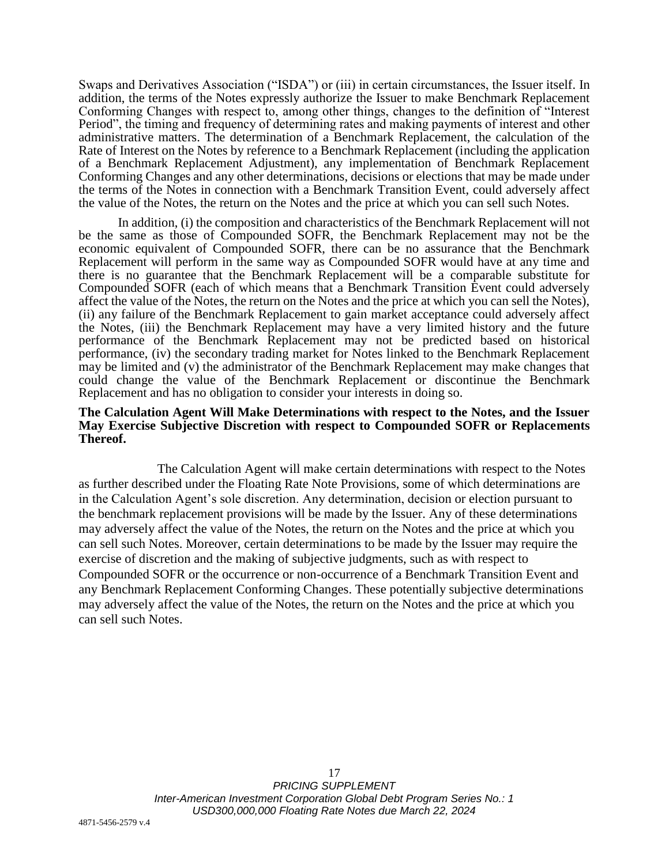Swaps and Derivatives Association ("ISDA") or (iii) in certain circumstances, the Issuer itself. In addition, the terms of the Notes expressly authorize the Issuer to make Benchmark Replacement Conforming Changes with respect to, among other things, changes to the definition of "Interest Period", the timing and frequency of determining rates and making payments of interest and other administrative matters. The determination of a Benchmark Replacement, the calculation of the Rate of Interest on the Notes by reference to a Benchmark Replacement (including the application of a Benchmark Replacement Adjustment), any implementation of Benchmark Replacement Conforming Changes and any other determinations, decisions or elections that may be made under the terms of the Notes in connection with a Benchmark Transition Event, could adversely affect the value of the Notes, the return on the Notes and the price at which you can sell such Notes.

In addition, (i) the composition and characteristics of the Benchmark Replacement will not be the same as those of Compounded SOFR, the Benchmark Replacement may not be the economic equivalent of Compounded SOFR, there can be no assurance that the Benchmark Replacement will perform in the same way as Compounded SOFR would have at any time and there is no guarantee that the Benchmark Replacement will be a comparable substitute for Compounded SOFR (each of which means that a Benchmark Transition Event could adversely affect the value of the Notes, the return on the Notes and the price at which you can sell the Notes), (ii) any failure of the Benchmark Replacement to gain market acceptance could adversely affect the Notes, (iii) the Benchmark Replacement may have a very limited history and the future performance of the Benchmark Replacement may not be predicted based on historical performance, (iv) the secondary trading market for Notes linked to the Benchmark Replacement may be limited and (v) the administrator of the Benchmark Replacement may make changes that could change the value of the Benchmark Replacement or discontinue the Benchmark Replacement and has no obligation to consider your interests in doing so.

## **The Calculation Agent Will Make Determinations with respect to the Notes, and the Issuer May Exercise Subjective Discretion with respect to Compounded SOFR or Replacements Thereof.**

The Calculation Agent will make certain determinations with respect to the Notes as further described under the Floating Rate Note Provisions, some of which determinations are in the Calculation Agent's sole discretion. Any determination, decision or election pursuant to the benchmark replacement provisions will be made by the Issuer. Any of these determinations may adversely affect the value of the Notes, the return on the Notes and the price at which you can sell such Notes. Moreover, certain determinations to be made by the Issuer may require the exercise of discretion and the making of subjective judgments, such as with respect to Compounded SOFR or the occurrence or non-occurrence of a Benchmark Transition Event and any Benchmark Replacement Conforming Changes. These potentially subjective determinations may adversely affect the value of the Notes, the return on the Notes and the price at which you can sell such Notes.